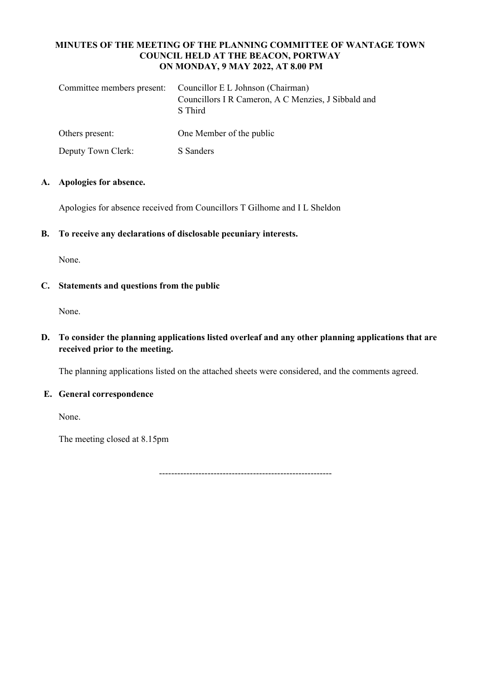### **MINUTES OF THE MEETING OF THE PLANNING COMMITTEE OF WANTAGE TOWN COUNCIL HELD AT THE BEACON, PORTWAY ON MONDAY, 9 MAY 2022, AT 8.00 PM**

| Committee members present: | Councillor E L Johnson (Chairman)<br>Councillors I R Cameron, A C Menzies, J Sibbald and<br>S Third |
|----------------------------|-----------------------------------------------------------------------------------------------------|
| Others present:            | One Member of the public                                                                            |
| Deputy Town Clerk:         | S Sanders                                                                                           |

## **A. Apologies for absence.**

Apologies for absence received from Councillors T Gilhome and I L Sheldon

**B. To receive any declarations of disclosable pecuniary interests.**

None.

## **C. Statements and questions from the public**

None.

# **D. To consider the planning applications listed overleaf and any other planning applications that are received prior to the meeting.**

The planning applications listed on the attached sheets were considered, and the comments agreed.

#### **E. General correspondence**

None.

The meeting closed at 8.15pm

---------------------------------------------------------